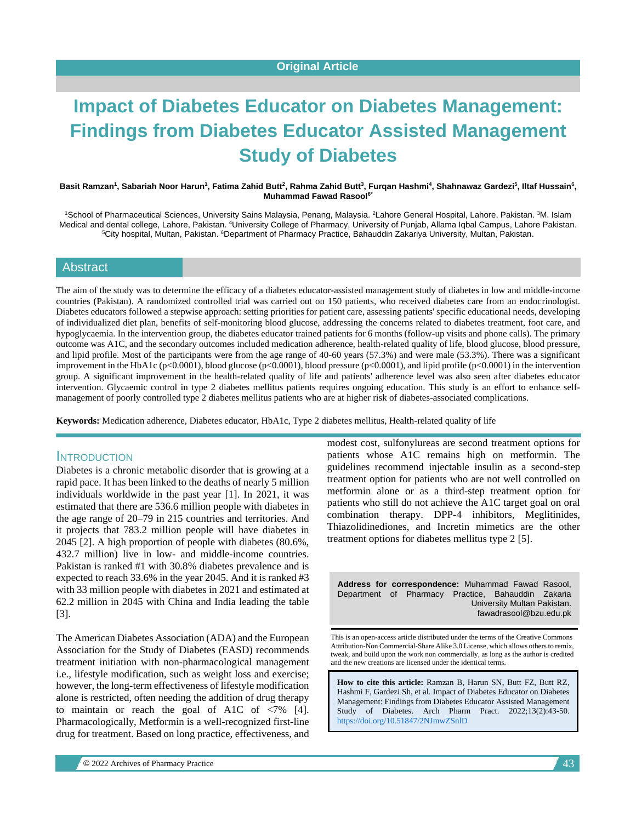# **Impact of Diabetes Educator on Diabetes Management: Findings from Diabetes Educator Assisted Management Study of Diabetes**

#### Basit Ramzan<sup>1</sup>, Sabariah Noor Harun<sup>1</sup>, Fatima Zahid Butt<sup>2</sup>, Rahma Zahid Butt<sup>3</sup>, Furqan Hashmi<sup>4</sup>, Shahnawaz Gardezi<sup>5</sup>, Iltaf Hussain<sup>6</sup>, **Muhammad Fawad Rasool6\***

<sup>1</sup>School of Pharmaceutical Sciences, University Sains Malaysia, Penang, Malaysia. <sup>2</sup>Lahore General Hospital, Lahore, Pakistan. <sup>3</sup>M. Islam Medical and dental college, Lahore, Pakistan. <sup>4</sup>University College of Pharmacy, University of Punjab, Allama Iqbal Campus, Lahore Pakistan. <sup>5</sup>City hospital, Multan, Pakistan. <sup>6</sup>Department of Pharmacy Practice, Bahauddin Zakariya University, Multan, Pakistan.

## Abstract

The aim of the study was to determine the efficacy of a diabetes educator-assisted management study of diabetes in low and middle-income countries (Pakistan). A randomized controlled trial was carried out on 150 patients, who received diabetes care from an endocrinologist. Diabetes educators followed a stepwise approach: setting priorities for patient care, assessing patients' specific educational needs, developing of individualized diet plan, benefits of self-monitoring blood glucose, addressing the concerns related to diabetes treatment, foot care, and hypoglycaemia. In the intervention group, the diabetes educator trained patients for 6 months (follow-up visits and phone calls). The primary outcome was A1C, and the secondary outcomes included medication adherence, health-related quality of life, blood glucose, blood pressure, and lipid profile. Most of the participants were from the age range of 40-60 years (57.3%) and were male (53.3%). There was a significant improvement in the HbA1c (p<0.0001), blood glucose (p<0.0001), blood pressure (p<0.0001), and lipid profile (p<0.0001) in the intervention group. A significant improvement in the health-related quality of life and patients' adherence level was also seen after diabetes educator intervention. Glycaemic control in type 2 diabetes mellitus patients requires ongoing education. This study is an effort to enhance selfmanagement of poorly controlled type 2 diabetes mellitus patients who are at higher risk of diabetes-associated complications.

**Keywords:** Medication adherence, Diabetes educator, HbA1c, Type 2 diabetes mellitus, Health-related quality of life

#### **INTRODUCTION**

Diabetes is a chronic metabolic disorder that is growing at a rapid pace. It has been linked to the deaths of nearly 5 million individuals worldwide in the past year [1]. In 2021, it was estimated that there are 536.6 million people with diabetes in the age range of 20–79 in 215 countries and territories. And it projects that 783.2 million people will have diabetes in 2045 [2]. A high proportion of people with diabetes (80.6%, 432.7 million) live in low- and middle-income countries. Pakistan is ranked #1 with 30.8% diabetes prevalence and is expected to reach 33.6% in the year 2045. And it is ranked #3 with 33 million people with diabetes in 2021 and estimated at 62.2 million in 2045 with China and India leading the table [3].

The American Diabetes Association (ADA) and the European Association for the Study of Diabetes (EASD) recommends treatment initiation with non-pharmacological management i.e., lifestyle modification, such as weight loss and exercise; however, the long-term effectiveness of lifestyle modification alone is restricted, often needing the addition of drug therapy to maintain or reach the goal of A1C of <7% [4]. Pharmacologically, Metformin is a well-recognized first-line drug for treatment. Based on long practice, effectiveness, and modest cost, sulfonylureas are second treatment options for patients whose A1C remains high on metformin. The guidelines recommend injectable insulin as a second-step treatment option for patients who are not well controlled on metformin alone or as a third-step treatment option for patients who still do not achieve the A1C target goal on oral combination therapy. DPP-4 inhibitors, Meglitinides, Thiazolidinediones, and Incretin mimetics are the other treatment options for diabetes mellitus type 2 [5].

**Address for correspondence:** Muhammad Fawad Rasool, Department of Pharmacy Practice, Bahauddin Zakaria University Multan Pakistan. fawadrasool@bzu.edu.pk

This is an open-access article distributed under the terms of the Creative Commons Attribution-Non Commercial-Share Alike 3.0 License, which allows others to remix, tweak, and build upon the work non commercially, as long as the author is credited and the new creations are licensed under the identical terms.

**How to cite this article:** Ramzan B, Harun SN, Butt FZ, Butt RZ, Hashmi F, Gardezi Sh, et al*.* Impact of Diabetes Educator on Diabetes Management: Findings from Diabetes Educator Assisted Management Study of Diabetes. Arch Pharm Pract. 2022;13(2):43-50. <https://doi.org/10.51847/2NJmwZSnlD>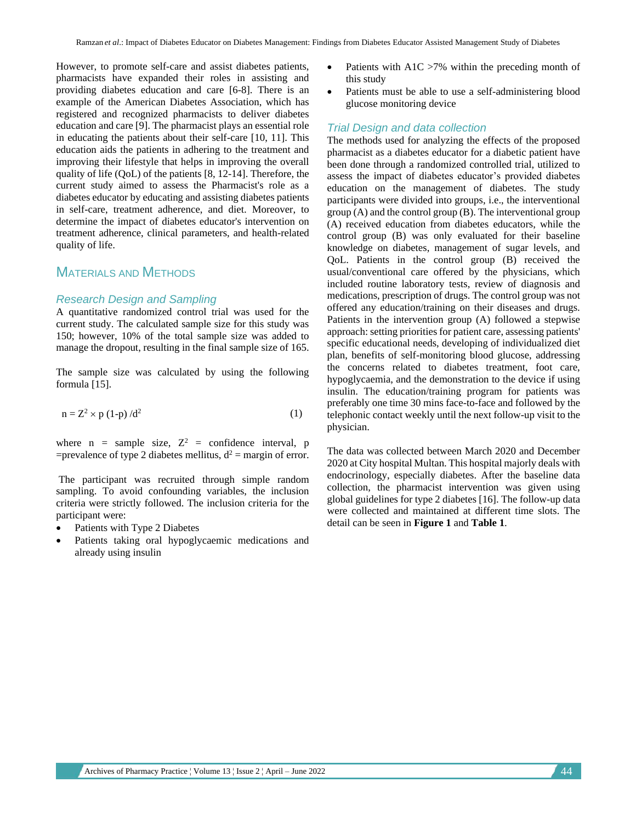However, to promote self-care and assist diabetes patients, pharmacists have expanded their roles in assisting and providing diabetes education and care [6-8]. There is an example of the American Diabetes Association, which has registered and recognized pharmacists to deliver diabetes education and care [9]. The pharmacist plays an essential role in educating the patients about their self-care [10, 11]. This education aids the patients in adhering to the treatment and improving their lifestyle that helps in improving the overall quality of life (QoL) of the patients [8, 12-14]. Therefore, the current study aimed to assess the Pharmacist's role as a diabetes educator by educating and assisting diabetes patients in self-care, treatment adherence, and diet. Moreover, to determine the impact of diabetes educator's intervention on treatment adherence, clinical parameters, and health-related quality of life.

# MATERIALS AND METHODS

#### *Research Design and Sampling*

A quantitative randomized control trial was used for the current study. The calculated sample size for this study was 150; however, 10% of the total sample size was added to manage the dropout, resulting in the final sample size of 165.

The sample size was calculated by using the following formula [15].

$$
n = Z^2 \times p (1-p) / d^2 \tag{1}
$$

where  $n =$  sample size,  $Z^2 =$  confidence interval, p =prevalence of type 2 diabetes mellitus,  $d^2$  = margin of error.

The participant was recruited through simple random sampling. To avoid confounding variables, the inclusion criteria were strictly followed. The inclusion criteria for the participant were:

- Patients with Type 2 Diabetes
- Patients taking oral hypoglycaemic medications and already using insulin
- Patients with A1C >7% within the preceding month of this study
- Patients must be able to use a self-administering blood glucose monitoring device

#### *Trial Design and data collection*

The methods used for analyzing the effects of the proposed pharmacist as a diabetes educator for a diabetic patient have been done through a randomized controlled trial, utilized to assess the impact of diabetes educator's provided diabetes education on the management of diabetes. The study participants were divided into groups, i.e., the interventional group (A) and the control group (B). The interventional group (A) received education from diabetes educators, while the control group (B) was only evaluated for their baseline knowledge on diabetes, management of sugar levels, and QoL. Patients in the control group (B) received the usual/conventional care offered by the physicians, which included routine laboratory tests, review of diagnosis and medications, prescription of drugs. The control group was not offered any education/training on their diseases and drugs. Patients in the intervention group (A) followed a stepwise approach: setting priorities for patient care, assessing patients' specific educational needs, developing of individualized diet plan, benefits of self-monitoring blood glucose, addressing the concerns related to diabetes treatment, foot care, hypoglycaemia, and the demonstration to the device if using insulin. The education/training program for patients was preferably one time 30 mins face-to-face and followed by the telephonic contact weekly until the next follow-up visit to the physician.

The data was collected between March 2020 and December 2020 at City hospital Multan. This hospital majorly deals with endocrinology, especially diabetes. After the baseline data collection, the pharmacist intervention was given using global guidelines for type 2 diabetes [16]. The follow-up data were collected and maintained at different time slots. The detail can be seen in **Figure 1** and **Table 1**.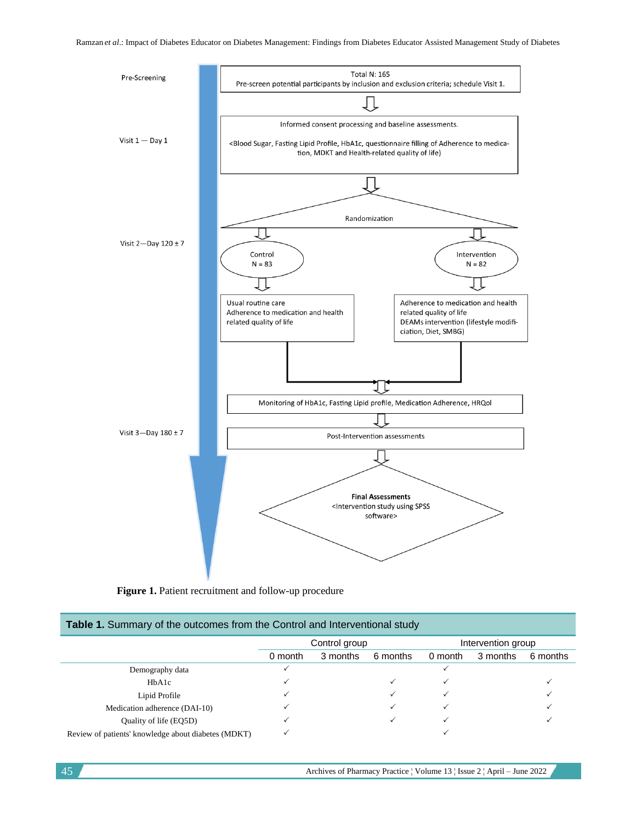

Figure 1. Patient recruitment and follow-up procedure

| <b>Table 1.</b> Summary of the outcomes from the Control and Interventional study |         |               |          |                    |          |          |  |  |
|-----------------------------------------------------------------------------------|---------|---------------|----------|--------------------|----------|----------|--|--|
|                                                                                   |         | Control group |          | Intervention group |          |          |  |  |
|                                                                                   | 0 month | 3 months      | 6 months | 0 month            | 3 months | 6 months |  |  |
| Demography data                                                                   |         |               |          |                    |          |          |  |  |
| HbA1c                                                                             |         |               |          |                    |          |          |  |  |
| Lipid Profile                                                                     |         |               |          |                    |          |          |  |  |
| Medication adherence (DAI-10)                                                     |         |               |          |                    |          |          |  |  |
| Quality of life (EQ5D)                                                            |         |               |          |                    |          |          |  |  |
| Review of patients' knowledge about diabetes (MDKT)                               |         |               |          |                    |          |          |  |  |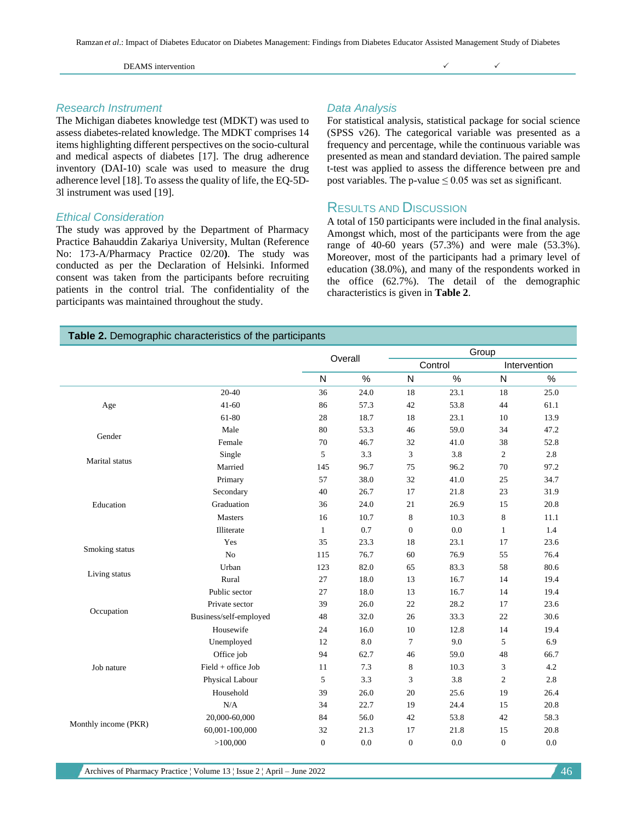#### DEAMS intervention

# *Research Instrument*

The Michigan diabetes knowledge test (MDKT) was used to assess diabetes-related knowledge. The MDKT comprises 14 items highlighting different perspectives on the socio-cultural and medical aspects of diabetes [17]. The drug adherence inventory (DAI-10) scale was used to measure the drug adherence level [18]. To assess the quality of life, the EQ-5D-3l instrument was used [19].

## *Ethical Consideration*

The study was approved by the Department of Pharmacy Practice Bahauddin Zakariya University, Multan (Reference No: 173-A/Pharmacy Practice 02/20**)**. The study was conducted as per the Declaration of Helsinki. Informed consent was taken from the participants before recruiting patients in the control trial. The confidentiality of the participants was maintained throughout the study.

## *Data Analysis*

For statistical analysis, statistical package for social science (SPSS v26). The categorical variable was presented as a frequency and percentage, while the continuous variable was presented as mean and standard deviation. The paired sample t-test was applied to assess the difference between pre and post variables. The p-value  $\leq 0.05$  was set as significant.

# RESULTS AND DISCUSSION

A total of 150 participants were included in the final analysis. Amongst which, most of the participants were from the age range of 40-60 years (57.3%) and were male (53.3%). Moreover, most of the participants had a primary level of education (38.0%), and many of the respondents worked in the office (62.7%). The detail of the demographic characteristics is given in **Table 2**.

#### **Table 2.** Demographic characteristics of the participants

|                      |                        |                  | Overall |                  | Group   |                  |              |  |
|----------------------|------------------------|------------------|---------|------------------|---------|------------------|--------------|--|
|                      |                        |                  |         |                  | Control |                  | Intervention |  |
|                      |                        | N                | %       | N                | $\%$    | ${\sf N}$        | %            |  |
|                      | $20 - 40$              | 36               | 24.0    | 18               | 23.1    | 18               | 25.0         |  |
| Age                  | $41 - 60$              | 86               | 57.3    | 42               | 53.8    | 44               | 61.1         |  |
|                      | 61-80                  | 28               | 18.7    | 18               | 23.1    | 10               | 13.9         |  |
| Gender               | Male                   | 80               | 53.3    | 46               | 59.0    | 34               | 47.2         |  |
|                      | Female                 | 70               | 46.7    | 32               | 41.0    | 38               | 52.8         |  |
| Marital status       | Single                 | 5                | 3.3     | 3                | 3.8     | $\mathfrak{2}$   | 2.8          |  |
|                      | Married                | 145              | 96.7    | 75               | 96.2    | 70               | 97.2         |  |
|                      | Primary                | 57               | 38.0    | 32               | 41.0    | 25               | 34.7         |  |
|                      | Secondary              | 40               | 26.7    | 17               | 21.8    | 23               | 31.9         |  |
| Education            | Graduation             | 36               | 24.0    | 21               | 26.9    | 15               | 20.8         |  |
|                      | <b>Masters</b>         | 16               | 10.7    | 8                | 10.3    | 8                | 11.1         |  |
|                      | Illiterate             | 1                | 0.7     | $\boldsymbol{0}$ | 0.0     | $\mathbf{1}$     | 1.4          |  |
|                      | Yes                    | 35               | 23.3    | 18               | 23.1    | 17               | 23.6         |  |
| Smoking status       | No                     | 115              | 76.7    | 60               | 76.9    | 55               | 76.4         |  |
|                      | Urban                  | 123              | 82.0    | 65               | 83.3    | 58               | 80.6         |  |
| Living status        | Rural                  | 27               | 18.0    | 13               | 16.7    | 14               | 19.4         |  |
|                      | Public sector          | 27               | 18.0    | 13               | 16.7    | 14               | 19.4         |  |
|                      | Private sector         | 39               | 26.0    | 22               | 28.2    | 17               | 23.6         |  |
| Occupation           | Business/self-employed | 48               | 32.0    | 26               | 33.3    | 22               | 30.6         |  |
|                      | Housewife              | 24               | 16.0    | 10               | 12.8    | 14               | 19.4         |  |
|                      | Unemployed             | 12               | 8.0     | $\overline{7}$   | 9.0     | 5                | 6.9          |  |
|                      | Office job             | 94               | 62.7    | 46               | 59.0    | 48               | 66.7         |  |
| Job nature           | $Field + of$ fice Job  | 11               | 7.3     | 8                | 10.3    | 3                | 4.2          |  |
|                      | Physical Labour        | 5                | 3.3     | 3                | 3.8     | $\overline{c}$   | 2.8          |  |
|                      | Household              | 39               | 26.0    | 20               | 25.6    | 19               | 26.4         |  |
|                      | N/A                    | 34               | 22.7    | 19               | 24.4    | 15               | 20.8         |  |
|                      | 20,000-60,000          | 84               | 56.0    | 42               | 53.8    | 42               | 58.3         |  |
| Monthly income (PKR) | 60,001-100,000         | 32               | 21.3    | 17               | 21.8    | 15               | 20.8         |  |
|                      | >100,000               | $\boldsymbol{0}$ | 0.0     | $\boldsymbol{0}$ | 0.0     | $\boldsymbol{0}$ | 0.0          |  |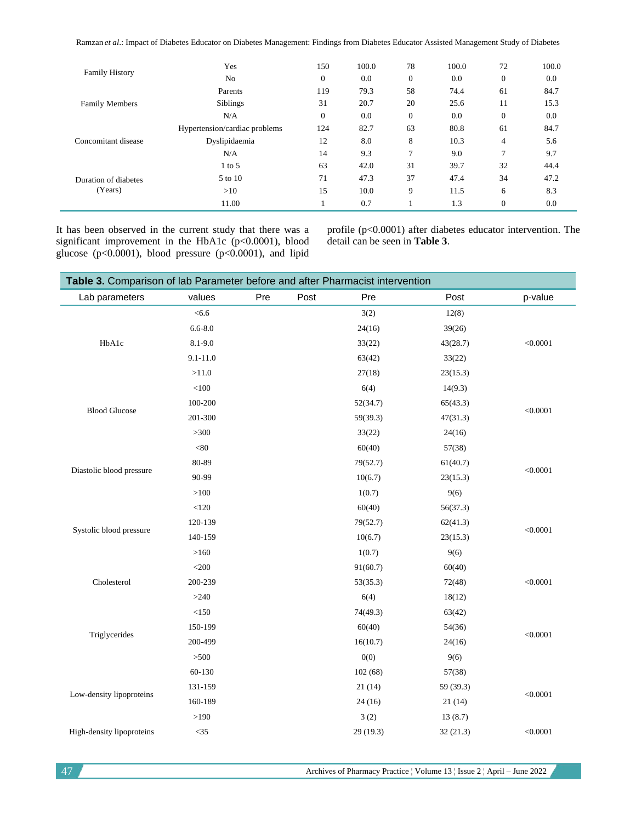Ramzan *et al*.: Impact of Diabetes Educator on Diabetes Management: Findings from Diabetes Educator Assisted Management Study of Diabetes

| <b>Family History</b>                                                              | 0.0  |
|------------------------------------------------------------------------------------|------|
| $\boldsymbol{0}$<br>$\overline{0}$<br>$\mathbf{0}$<br>0.0<br>N <sub>o</sub><br>0.0 |      |
| 58<br>119<br>79.3<br>74.4<br>61<br>Parents                                         | 84.7 |
| 20<br>31<br>11<br>Siblings<br>20.7<br>25.6<br><b>Family Members</b>                | 15.3 |
| $\boldsymbol{0}$<br>0.0<br>$\overline{0}$<br>$\mathbf{0}$<br>N/A<br>0.0            | 0.0  |
| 63<br>80.8<br>124<br>82.7<br>61<br>Hypertension/cardiac problems                   | 84.7 |
| 8<br>8.0<br>$\overline{4}$<br>Dyslipidaemia<br>12<br>10.3<br>Concomitant disease   | 5.6  |
| 7<br>9.3<br>9.0<br>7<br>N/A<br>14                                                  | 9.7  |
| 63<br>31<br>32<br>42.0<br>39.7<br>$1$ to 5                                         | 44.4 |
| 37<br>71<br>34<br>47.3<br>5 to 10<br>47.4<br>Duration of diabetes                  | 47.2 |
| (Years)<br>15<br>9<br>10.0<br>11.5<br>6<br>>10                                     | 8.3  |
| 0.7<br>1.3<br>$\mathbf{0}$<br>11.00                                                | 0.0  |

It has been observed in the current study that there was a significant improvement in the HbA1c (p<0.0001), blood glucose (p<0.0001), blood pressure (p<0.0001), and lipid profile (p<0.0001) after diabetes educator intervention. The detail can be seen in **Table 3**.

| Table 3. Comparison of lab Parameter before and after Pharmacist intervention |              |     |      |           |           |          |
|-------------------------------------------------------------------------------|--------------|-----|------|-----------|-----------|----------|
| Lab parameters                                                                | values       | Pre | Post | Pre       | Post      | p-value  |
|                                                                               | < 6.6        |     |      | 3(2)      | 12(8)     |          |
| HbA1c                                                                         | $6.6 - 8.0$  |     |      | 24(16)    | 39(26)    |          |
|                                                                               | 8.1-9.0      |     |      | 33(22)    | 43(28.7)  | < 0.0001 |
|                                                                               | $9.1 - 11.0$ |     |      | 63(42)    | 33(22)    |          |
|                                                                               | >11.0        |     |      | 27(18)    | 23(15.3)  |          |
|                                                                               | $<\!\!100$   |     |      | 6(4)      | 14(9.3)   |          |
| <b>Blood Glucose</b>                                                          | 100-200      |     |      | 52(34.7)  | 65(43.3)  | < 0.0001 |
|                                                                               | 201-300      |     |      | 59(39.3)  | 47(31.3)  |          |
|                                                                               | >300         |     |      | 33(22)    | 24(16)    |          |
| Diastolic blood pressure                                                      | $<\!\!80$    |     |      | 60(40)    | 57(38)    |          |
|                                                                               | 80-89        |     |      | 79(52.7)  | 61(40.7)  | < 0.0001 |
|                                                                               | 90-99        |     |      | 10(6.7)   | 23(15.3)  |          |
|                                                                               | $>\!\!100$   |     |      | 1(0.7)    | 9(6)      |          |
|                                                                               | $<120\,$     |     |      | 60(40)    | 56(37.3)  |          |
| Systolic blood pressure                                                       | 120-139      |     |      | 79(52.7)  | 62(41.3)  | < 0.0001 |
|                                                                               | 140-159      |     |      | 10(6.7)   | 23(15.3)  |          |
|                                                                               | >160         |     |      | 1(0.7)    | 9(6)      |          |
|                                                                               | $<$ 200 $\,$ |     |      | 91(60.7)  | 60(40)    |          |
| Cholesterol                                                                   | 200-239      |     |      | 53(35.3)  | 72(48)    | < 0.0001 |
|                                                                               | >240         |     |      | 6(4)      | 18(12)    |          |
|                                                                               | <150         |     |      | 74(49.3)  | 63(42)    |          |
| Triglycerides                                                                 | 150-199      |     |      | 60(40)    | 54(36)    | < 0.0001 |
|                                                                               | 200-499      |     |      | 16(10.7)  | 24(16)    |          |
|                                                                               | >500         |     |      | 0(0)      | 9(6)      |          |
| Low-density lipoproteins                                                      | 60-130       |     |      | 102(68)   | 57(38)    |          |
|                                                                               | 131-159      |     |      | 21(14)    | 59 (39.3) | < 0.0001 |
|                                                                               | 160-189      |     |      | 24(16)    | 21(14)    |          |
|                                                                               | >190         |     |      | 3(2)      | 13(8.7)   |          |
| High-density lipoproteins                                                     | $<$ 35       |     |      | 29 (19.3) | 32(21.3)  | < 0.0001 |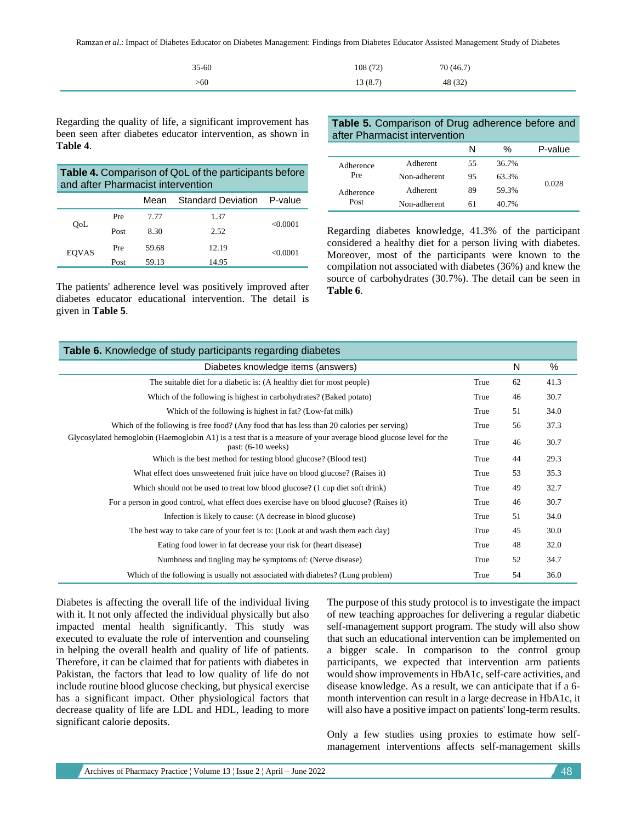Ramzan *et al*.: Impact of Diabetes Educator on Diabetes Management: Findings from Diabetes Educator Assisted Management Study of Diabetes

| $35 - 60$ | 108(72) | 70 (46.7) |
|-----------|---------|-----------|
| >60       | 13(8.7) | 48 (32)   |

Regarding the quality of life, a significant improvement has been seen after diabetes educator intervention, as shown in **Table 4**.

| <b>Table 4.</b> Comparison of QoL of the participants before<br>and after Pharmacist intervention |      |       |       |         |  |
|---------------------------------------------------------------------------------------------------|------|-------|-------|---------|--|
| Standard Deviation P-value<br>Mean                                                                |      |       |       |         |  |
|                                                                                                   | Pre  | 7.77  | 1.37  |         |  |
| OoL                                                                                               | Post | 8.30  | 2.52  | <0.0001 |  |
| <b>EOVAS</b>                                                                                      | Pre  | 59.68 | 12.19 | <0.0001 |  |
|                                                                                                   | Post | 59.13 | 14.95 |         |  |

The patients' adherence level was positively improved after diabetes educator educational intervention. The detail is given in **Table 5**.

**Table 5.** Comparison of Drug adherence before and after Pharmacist intervention

|                                       |              | N  | %     | P-value |
|---------------------------------------|--------------|----|-------|---------|
| Adherence<br>Pre<br>Adherence<br>Post | Adherent     | 55 | 36.7% |         |
|                                       | Non-adherent | 95 | 63.3% | 0.028   |
|                                       | Adherent     | 89 | 59.3% |         |
|                                       | Non-adherent | 61 | 40.7% |         |

Regarding diabetes knowledge, 41.3% of the participant considered a healthy diet for a person living with diabetes. Moreover, most of the participants were known to the compilation not associated with diabetes (36%) and knew the source of carbohydrates (30.7%). The detail can be seen in **Table 6**.

| Table 6. Knowledge of study participants regarding diabetes                                                                              |      |    |      |  |  |  |
|------------------------------------------------------------------------------------------------------------------------------------------|------|----|------|--|--|--|
| Diabetes knowledge items (answers)                                                                                                       |      | N  | $\%$ |  |  |  |
| The suitable diet for a diabetic is: (A healthy diet for most people)                                                                    | True | 62 | 41.3 |  |  |  |
| Which of the following is highest in carbohydrates? (Baked potato)                                                                       | True | 46 | 30.7 |  |  |  |
| Which of the following is highest in fat? (Low-fat milk)                                                                                 | True | 51 | 34.0 |  |  |  |
| Which of the following is free food? (Any food that has less than 20 calories per serving)                                               | True | 56 | 37.3 |  |  |  |
| Glycosylated hemoglobin (Haemoglobin A1) is a test that is a measure of your average blood glucose level for the<br>past: $(6-10$ weeks) | True | 46 | 30.7 |  |  |  |
| Which is the best method for testing blood glucose? (Blood test)                                                                         | True | 44 | 29.3 |  |  |  |
| What effect does unsweetened fruit juice have on blood glucose? (Raises it)                                                              | True | 53 | 35.3 |  |  |  |
| Which should not be used to treat low blood glucose? (1 cup diet soft drink)                                                             | True | 49 | 32.7 |  |  |  |
| For a person in good control, what effect does exercise have on blood glucose? (Raises it)                                               | True | 46 | 30.7 |  |  |  |
| Infection is likely to cause: (A decrease in blood glucose)                                                                              | True | 51 | 34.0 |  |  |  |
| The best way to take care of your feet is to: (Look at and wash them each day)                                                           | True | 45 | 30.0 |  |  |  |
| Eating food lower in fat decrease your risk for (heart disease)                                                                          | True | 48 | 32.0 |  |  |  |
| Numbness and tingling may be symptoms of: (Nerve disease)                                                                                | True | 52 | 34.7 |  |  |  |
| Which of the following is usually not associated with diabetes? (Lung problem)                                                           | True | 54 | 36.0 |  |  |  |

Diabetes is affecting the overall life of the individual living with it. It not only affected the individual physically but also impacted mental health significantly. This study was executed to evaluate the role of intervention and counseling in helping the overall health and quality of life of patients. Therefore, it can be claimed that for patients with diabetes in Pakistan, the factors that lead to low quality of life do not include routine blood glucose checking, but physical exercise has a significant impact. Other physiological factors that decrease quality of life are LDL and HDL, leading to more significant calorie deposits.

The purpose of this study protocol is to investigate the impact of new teaching approaches for delivering a regular diabetic self-management support program. The study will also show that such an educational intervention can be implemented on a bigger scale. In comparison to the control group participants, we expected that intervention arm patients would show improvements in HbA1c, self-care activities, and disease knowledge. As a result, we can anticipate that if a 6 month intervention can result in a large decrease in HbA1c, it will also have a positive impact on patients' long-term results.

Only a few studies using proxies to estimate how selfmanagement interventions affects self-management skills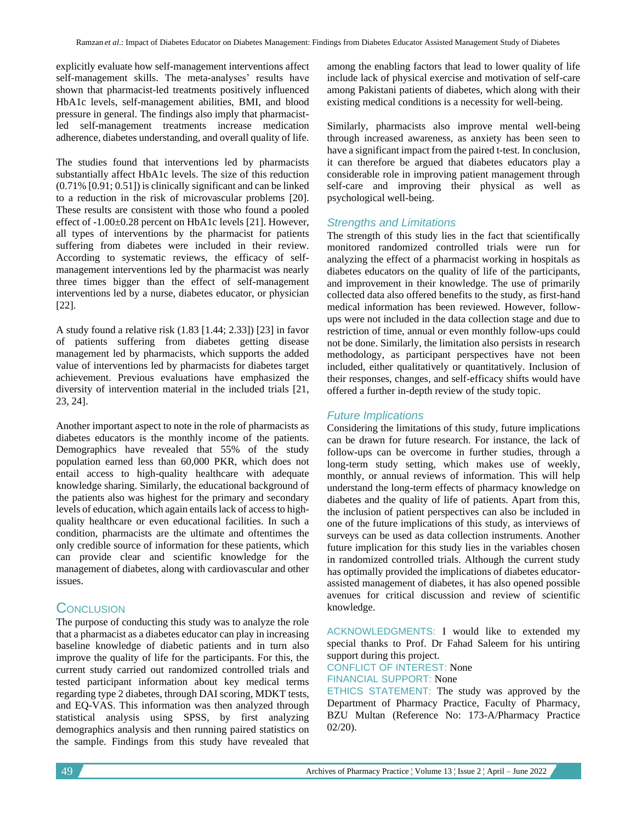explicitly evaluate how self-management interventions affect self-management skills. The meta-analyses' results have shown that pharmacist-led treatments positively influenced HbA1c levels, self-management abilities, BMI, and blood pressure in general. The findings also imply that pharmacistled self-management treatments increase medication adherence, diabetes understanding, and overall quality of life.

The studies found that interventions led by pharmacists substantially affect HbA1c levels. The size of this reduction (0.71% [0.91; 0.51]) is clinically significant and can be linked to a reduction in the risk of microvascular problems [20]. These results are consistent with those who found a pooled effect of -1.00±0.28 percent on HbA1c levels [21]. However, all types of interventions by the pharmacist for patients suffering from diabetes were included in their review. According to systematic reviews, the efficacy of selfmanagement interventions led by the pharmacist was nearly three times bigger than the effect of self-management interventions led by a nurse, diabetes educator, or physician [22].

A study found a relative risk (1.83 [1.44; 2.33]) [23] in favor of patients suffering from diabetes getting disease management led by pharmacists, which supports the added value of interventions led by pharmacists for diabetes target achievement. Previous evaluations have emphasized the diversity of intervention material in the included trials [21, 23, 24].

Another important aspect to note in the role of pharmacists as diabetes educators is the monthly income of the patients. Demographics have revealed that 55% of the study population earned less than 60,000 PKR, which does not entail access to high-quality healthcare with adequate knowledge sharing. Similarly, the educational background of the patients also was highest for the primary and secondary levels of education, which again entails lack of access to highquality healthcare or even educational facilities. In such a condition, pharmacists are the ultimate and oftentimes the only credible source of information for these patients, which can provide clear and scientific knowledge for the management of diabetes, along with cardiovascular and other issues.

# **CONCLUSION**

The purpose of conducting this study was to analyze the role that a pharmacist as a diabetes educator can play in increasing baseline knowledge of diabetic patients and in turn also improve the quality of life for the participants. For this, the current study carried out randomized controlled trials and tested participant information about key medical terms regarding type 2 diabetes, through DAI scoring, MDKT tests, and EQ-VAS. This information was then analyzed through statistical analysis using SPSS, by first analyzing demographics analysis and then running paired statistics on the sample. Findings from this study have revealed that

among the enabling factors that lead to lower quality of life include lack of physical exercise and motivation of self-care among Pakistani patients of diabetes, which along with their existing medical conditions is a necessity for well-being.

Similarly, pharmacists also improve mental well-being through increased awareness, as anxiety has been seen to have a significant impact from the paired t-test. In conclusion, it can therefore be argued that diabetes educators play a considerable role in improving patient management through self-care and improving their physical as well as psychological well-being.

# *Strengths and Limitations*

The strength of this study lies in the fact that scientifically monitored randomized controlled trials were run for analyzing the effect of a pharmacist working in hospitals as diabetes educators on the quality of life of the participants, and improvement in their knowledge. The use of primarily collected data also offered benefits to the study, as first-hand medical information has been reviewed. However, followups were not included in the data collection stage and due to restriction of time, annual or even monthly follow-ups could not be done. Similarly, the limitation also persists in research methodology, as participant perspectives have not been included, either qualitatively or quantitatively. Inclusion of their responses, changes, and self-efficacy shifts would have offered a further in-depth review of the study topic.

## *Future Implications*

Considering the limitations of this study, future implications can be drawn for future research. For instance, the lack of follow-ups can be overcome in further studies, through a long-term study setting, which makes use of weekly, monthly, or annual reviews of information. This will help understand the long-term effects of pharmacy knowledge on diabetes and the quality of life of patients. Apart from this, the inclusion of patient perspectives can also be included in one of the future implications of this study, as interviews of surveys can be used as data collection instruments. Another future implication for this study lies in the variables chosen in randomized controlled trials. Although the current study has optimally provided the implications of diabetes educatorassisted management of diabetes, it has also opened possible avenues for critical discussion and review of scientific knowledge.

ACKNOWLEDGMENTS: I would like to extended my special thanks to Prof. Dr Fahad Saleem for his untiring support during this project. CONFLICT OF INTEREST: None

FINANCIAL SUPPORT: None

ETHICS STATEMENT: The study was approved by the Department of Pharmacy Practice, Faculty of Pharmacy, BZU Multan (Reference No: 173-A/Pharmacy Practice 02/20).